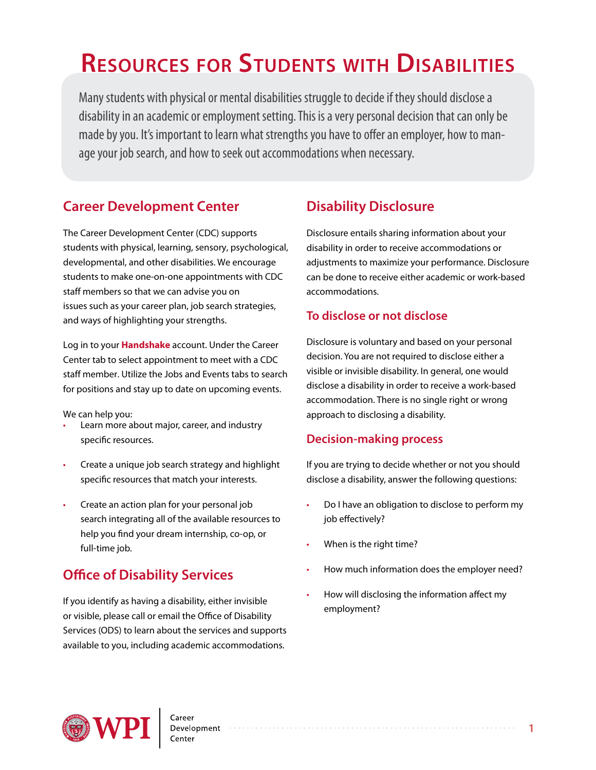# **Resources for Students with Disabilities**

Many students with physical or mental disabilities struggle to decide if they should disclose a disability in an academic or employment setting. This is a very personal decision that can only be made by you. It's important to learn what strengths you have to offer an employer, how to manage your job search, and how to seek out accommodations when necessary.

## **Career Development Center**

The Career Development Center (CDC) supports students with physical, learning, sensory, psychological, developmental, and other disabilities. We encourage students to make one-on-one appointments with CDC staff members so that we can advise you on issues such as your career plan, job search strategies, and ways of highlighting your strengths.

Log in to your **[Handshake](wpi.joinhandshake.com)** account. Under the Career Center tab to select appointment to meet with a CDC staff member. Utilize the Jobs and Events tabs to search for positions and stay up to date on upcoming events.

We can help you:

- Learn more about major, career, and industry specific resources.
- Create a unique job search strategy and highlight specific resources that match your interests.
- Create an action plan for your personal job search integrating all of the available resources to help you find your dream internship, co-op, or full-time job.

# **Office of Disability Services**

If you identify as having a disability, either invisible or visible, please call or email the Office of Disability Services (ODS) to learn about the services and supports available to you, including academic accommodations.

# **Disability Disclosure**

Disclosure entails sharing information about your disability in order to receive accommodations or adjustments to maximize your performance. Disclosure can be done to receive either academic or work-based accommodations.

## **To disclose or not disclose**

Disclosure is voluntary and based on your personal decision. You are not required to disclose either a visible or invisible disability. In general, one would disclose a disability in order to receive a work-based accommodation. There is no single right or wrong approach to disclosing a disability.

## **Decision-making process**

If you are trying to decide whether or not you should disclose a disability, answer the following questions:

- Do I have an obligation to disclose to perform my job effectively?
- When is the right time?
- How much information does the employer need?
- How will disclosing the information affect my employment?

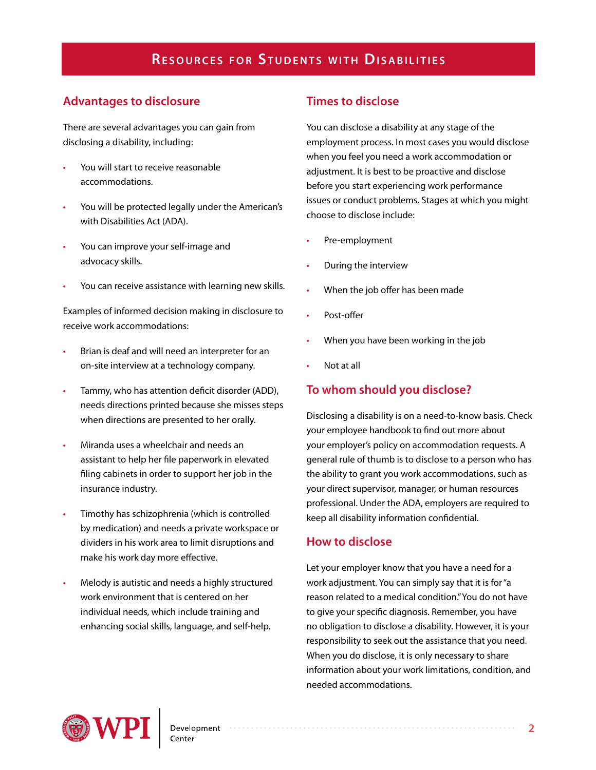#### **Advantages to disclosure**

There are several advantages you can gain from disclosing a disability, including:

- You will start to receive reasonable accommodations.
- You will be protected legally under the American's with Disabilities Act (ADA).
- You can improve your self-image and advocacy skills.
- You can receive assistance with learning new skills.

Examples of informed decision making in disclosure to receive work accommodations:

- Brian is deaf and will need an interpreter for an on-site interview at a technology company.
- Tammy, who has attention deficit disorder (ADD), needs directions printed because she misses steps when directions are presented to her orally.
- Miranda uses a wheelchair and needs an assistant to help her file paperwork in elevated filing cabinets in order to support her job in the insurance industry.
- Timothy has schizophrenia (which is controlled by medication) and needs a private workspace or dividers in his work area to limit disruptions and make his work day more effective.
- Melody is autistic and needs a highly structured work environment that is centered on her individual needs, which include training and enhancing social skills, language, and self-help.

## **Times to disclose**

You can disclose a disability at any stage of the employment process. In most cases you would disclose when you feel you need a work accommodation or adjustment. It is best to be proactive and disclose before you start experiencing work performance issues or conduct problems. Stages at which you might choose to disclose include:

- Pre-employment
- During the interview
- When the job offer has been made
- Post-offer
- When you have been working in the job
- Not at all

#### **To whom should you disclose?**

Disclosing a disability is on a need-to-know basis. Check your employee handbook to find out more about your employer's policy on accommodation requests. A general rule of thumb is to disclose to a person who has the ability to grant you work accommodations, such as your direct supervisor, manager, or human resources professional. Under the ADA, employers are required to keep all disability information confidential.

#### **How to disclose**

Let your employer know that you have a need for a work adjustment. You can simply say that it is for "a reason related to a medical condition." You do not have to give your specific diagnosis. Remember, you have no obligation to disclose a disability. However, it is your responsibility to seek out the assistance that you need. When you do disclose, it is only necessary to share information about your work limitations, condition, and needed accommodations.

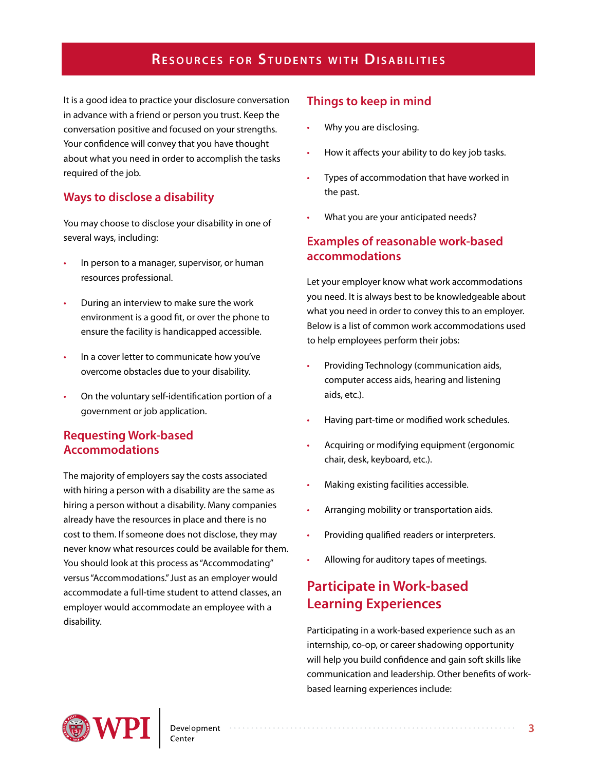It is a good idea to practice your disclosure conversation in advance with a friend or person you trust. Keep the conversation positive and focused on your strengths. Your confidence will convey that you have thought about what you need in order to accomplish the tasks required of the job.

## **Ways to disclose a disability**

You may choose to disclose your disability in one of several ways, including:

- In person to a manager, supervisor, or human resources professional.
- During an interview to make sure the work environment is a good fit, or over the phone to ensure the facility is handicapped accessible.
- In a cover letter to communicate how you've overcome obstacles due to your disability.
- On the voluntary self-identification portion of a government or job application.

#### **Requesting Work-based Accommodations**

The majority of employers say the costs associated with hiring a person with a disability are the same as hiring a person without a disability. Many companies already have the resources in place and there is no cost to them. If someone does not disclose, they may never know what resources could be available for them. You should look at this process as "Accommodating" versus "Accommodations." Just as an employer would accommodate a full-time student to attend classes, an employer would accommodate an employee with a disability.

## **Things to keep in mind**

- Why you are disclosing.
- How it affects your ability to do key job tasks.
- Types of accommodation that have worked in the past.
- What you are your anticipated needs?

#### **Examples of reasonable work-based accommodations**

Let your employer know what work accommodations you need. It is always best to be knowledgeable about what you need in order to convey this to an employer. Below is a list of common work accommodations used to help employees perform their jobs:

- Providing Technology (communication aids, computer access aids, hearing and listening aids, etc.).
- Having part-time or modified work schedules.
- Acquiring or modifying equipment (ergonomic chair, desk, keyboard, etc.).
- Making existing facilities accessible.
- Arranging mobility or transportation aids.
- Providing qualified readers or interpreters.
- Allowing for auditory tapes of meetings.

## **Participate in Work-based Learning Experiences**

Participating in a work-based experience such as an internship, co-op, or career shadowing opportunity will help you build confidence and gain soft skills like communication and leadership. Other benefits of workbased learning experiences include:

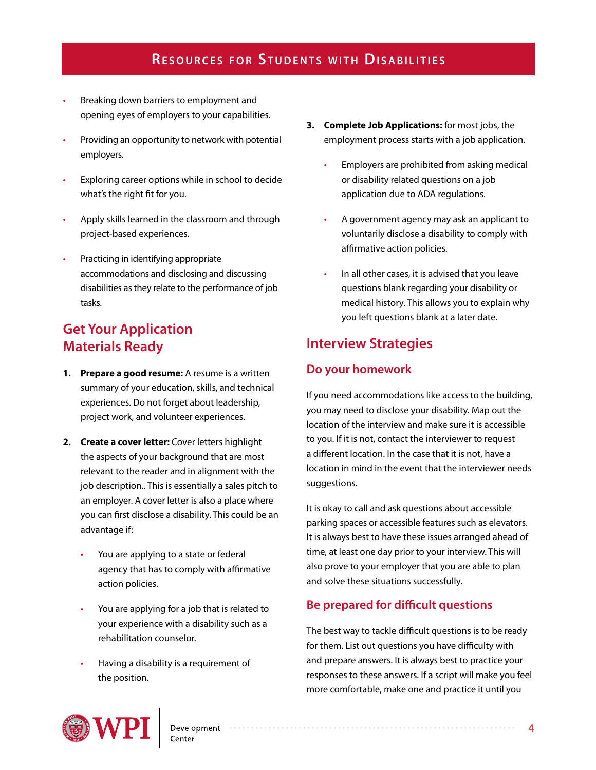- Breaking down barriers to employment and opening eyes of employers to your capabilities.
- Providing an opportunity to network with potential employers.
- Exploring career options while in school to decide what's the right fit for you.
- Apply skills learned in the classroom and through project-based experiences.
- Practicing in identifying appropriate accommodations and disclosing and discussing disabilities as they relate to the performance of job tasks.

## **Get Your Application Materials Ready**

- **1. Prepare a good resume:** A resume is a written summary of your education, skills, and technical experiences. Do not forget about leadership, project work, and volunteer experiences.
- **2. Create a cover letter:** Cover letters highlight the aspects of your background that are most relevant to the reader and in alignment with the job description.. This is essentially a sales pitch to an employer. A cover letter is also a place where you can first disclose a disability. This could be an advantage if:
	- You are applying to a state or federal agency that has to comply with affirmative action policies.
	- You are applying for a job that is related to your experience with a disability such as a rehabilitation counselor.
	- Having a disability is a requirement of the position.
- **3. Complete Job Applications:** for most jobs, the employment process starts with a job application.
	- Employers are prohibited from asking medical or disability related questions on a job application due to ADA regulations.
	- A government agency may ask an applicant to voluntarily disclose a disability to comply with affirmative action policies.
	- In all other cases, it is advised that you leave questions blank regarding your disability or medical history. This allows you to explain why you left questions blank at a later date.

## **Interview Strategies**

## **Do your homework**

If you need accommodations like access to the building, you may need to disclose your disability. Map out the location of the interview and make sure it is accessible to you. If it is not, contact the interviewer to request a different location. In the case that it is not, have a location in mind in the event that the interviewer needs suggestions.

It is okay to call and ask questions about accessible parking spaces or accessible features such as elevators. It is always best to have these issues arranged ahead of time, at least one day prior to your interview. This will also prove to your employer that you are able to plan and solve these situations successfully.

## **Be prepared for difficult questions**

The best way to tackle difficult questions is to be ready for them. List out questions you have difficulty with and prepare answers. It is always best to practice your responses to these answers. If a script will make you feel more comfortable, make one and practice it until you

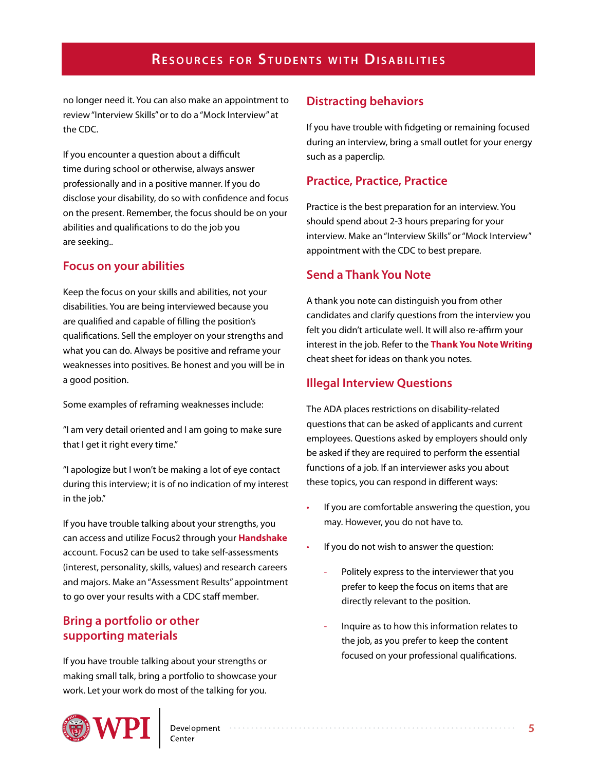no longer need it. You can also make an appointment to review "Interview Skills" or to do a "Mock Interview" at the CDC.

If you encounter a question about a difficult time during school or otherwise, always answer professionally and in a positive manner. If you do disclose your disability, do so with confidence and focus on the present. Remember, the focus should be on your abilities and qualifications to do the job you are seeking..

#### **Focus on your abilities**

Keep the focus on your skills and abilities, not your disabilities. You are being interviewed because you are qualified and capable of filling the position's qualifications. Sell the employer on your strengths and what you can do. Always be positive and reframe your weaknesses into positives. Be honest and you will be in a good position.

Some examples of reframing weaknesses include:

"I am very detail oriented and I am going to make sure that I get it right every time."

"I apologize but I won't be making a lot of eye contact during this interview; it is of no indication of my interest in the job."

If you have trouble talking about your strengths, you can access and utilize Focus2 through your **[Handshake](https://wpi.joinhandshake.com/schools/127/articles)** account. Focus2 can be used to take self-assessments (interest, personality, skills, values) and research careers and majors. Make an "Assessment Results" appointment to go over your results with a CDC staff member.

#### **Bring a portfolio or other supporting materials**

If you have trouble talking about your strengths or making small talk, bring a portfolio to showcase your work. Let your work do most of the talking for you.

## **Distracting behaviors**

If you have trouble with fidgeting or remaining focused during an interview, bring a small outlet for your energy such as a paperclip.

#### **Practice, Practice, Practice**

Practice is the best preparation for an interview. You should spend about 2-3 hours preparing for your interview. Make an "Interview Skills" or "Mock Interview" appointment with the CDC to best prepare.

## **Send a Thank You Note**

A thank you note can distinguish you from other candidates and clarify questions from the interview you felt you didn't articulate well. It will also re-affirm your interest in the job. Refer to the **[Thank You Note Writing](http://www.wpi.edu/Images/CMS/CDC/Thank-you-note.pdf)** cheat sheet for ideas on thank you notes.

#### **Illegal Interview Questions**

The ADA places restrictions on disability-related questions that can be asked of applicants and current employees. Questions asked by employers should only be asked if they are required to perform the essential functions of a job. If an interviewer asks you about these topics, you can respond in different ways:

- If you are comfortable answering the question, you may. However, you do not have to.
- If you do not wish to answer the question:
	- Politely express to the interviewer that you prefer to keep the focus on items that are directly relevant to the position.
	- Inquire as to how this information relates to the job, as you prefer to keep the content focused on your professional qualifications.

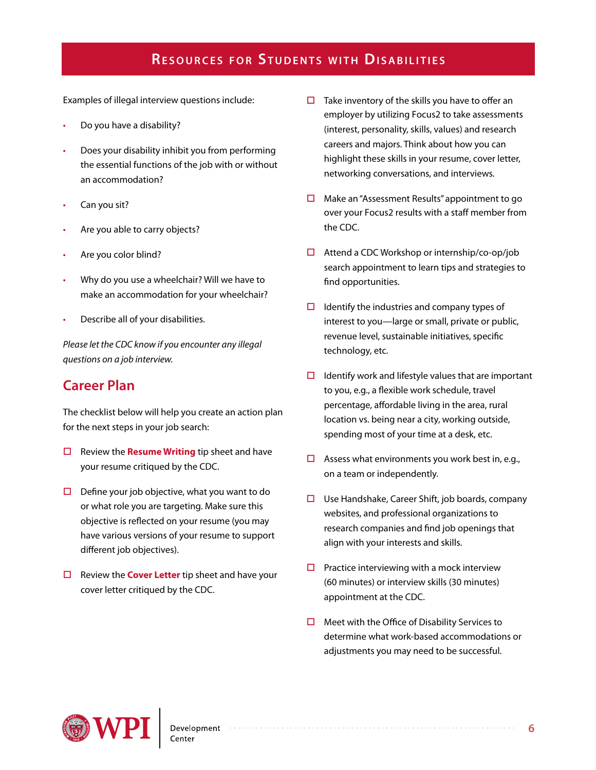Examples of illegal interview questions include:

- Do you have a disability?
- Does your disability inhibit you from performing the essential functions of the job with or without an accommodation?
- Can you sit?
- Are you able to carry objects?
- Are you color blind?
- Why do you use a wheelchair? Will we have to make an accommodation for your wheelchair?
- Describe all of your disabilities.

*Please let the CDC know if you encounter any illegal questions on a job interview.*

## **Career Plan**

The checklist below will help you create an action plan for the next steps in your job search:

- Review the **[Resume Writing](http://www.wpi.edu/Images/CMS/CDC/Resume-writing.pdf)** tip sheet and have your resume critiqued by the CDC.
- $\Box$  Define your job objective, what you want to do or what role you are targeting. Make sure this objective is reflected on your resume (you may have various versions of your resume to support different job objectives).
- □ Review the **[Cover Letter](http://www.wpi.edu/Images/CMS/CDC/CoverLetters.pdf)** tip sheet and have your cover letter critiqued by the CDC.
- $\Box$  Take inventory of the skills you have to offer an employer by utilizing Focus2 to take assessments (interest, personality, skills, values) and research careers and majors. Think about how you can highlight these skills in your resume, cover letter, networking conversations, and interviews.
- $\Box$  Make an "Assessment Results" appointment to go over your Focus2 results with a staff member from the CDC.
- $\Box$  Attend a CDC Workshop or internship/co-op/job search appointment to learn tips and strategies to find opportunities.
- $\Box$  Identify the industries and company types of interest to you—large or small, private or public, revenue level, sustainable initiatives, specific technology, etc.
- $\Box$  Identify work and lifestyle values that are important to you, e.g., a flexible work schedule, travel percentage, affordable living in the area, rural location vs. being near a city, working outside, spending most of your time at a desk, etc.
- $\Box$  Assess what environments you work best in, e.g., on a team or independently.
- $\Box$  Use Handshake, Career Shift, job boards, company websites, and professional organizations to research companies and find job openings that align with your interests and skills.
- $\square$  Practice interviewing with a mock interview (60 minutes) or interview skills (30 minutes) appointment at the CDC.
- $\Box$  Meet with the Office of Disability Services to determine what work-based accommodations or adjustments you may need to be successful.